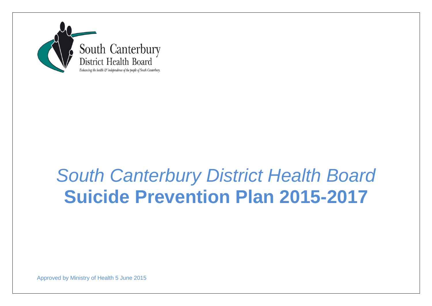

# *South Canterbury District Health Board*  **Suicide Prevention Plan 2015-2017**

Approved by Ministry of Health 5 June 2015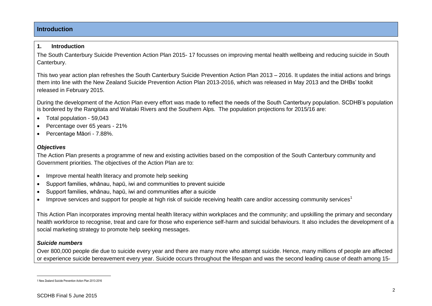## **Introduction**

#### **1. Introduction**

The South Canterbury Suicide Prevention Action Plan 2015- 17 focusses on improving mental health wellbeing and reducing suicide in South Canterbury.

This two year action plan refreshes the South Canterbury Suicide Prevention Action Plan 2013 – 2016. It updates the initial actions and brings them into line with the New Zealand Suicide Prevention Action Plan 2013-2016, which was released in May 2013 and the DHBs' toolkit released in February 2015.

During the development of the Action Plan every effort was made to reflect the needs of the South Canterbury population. SCDHB's population is bordered by the Rangitata and Waitaki Rivers and the Southern Alps. The population projections for 2015/16 are:

- Total population 59,043
- Percentage over 65 years 21%
- Percentage Māori 7.88%.

#### *Objectives*

The Action Plan presents a programme of new and existing activities based on the composition of the South Canterbury community and Government priorities. The objectives of the Action Plan are to:

- Improve mental health literacy and promote help seeking
- Support families, whānau, hapū, iwi and communities to prevent suicide
- Support families, whānau, hapū, iwi and communities after a suicide
- $\bullet$  Improve services and support for people at high risk of suicide receiving health care and/or accessing community services<sup>1</sup>

This Action Plan incorporates improving mental health literacy within workplaces and the community; and upskilling the primary and secondary health workforce to recognise, treat and care for those who experience self-harm and suicidal behaviours. It also includes the development of a social marketing strategy to promote help seeking messages.

#### *Suicide numbers*

Over 800,000 people die due to suicide every year and there are many more who attempt suicide. Hence, many millions of people are affected or experience suicide bereavement every year. Suicide occurs throughout the lifespan and was the second leading cause of death among 15-

 $\overline{a}$ 1 New Zealand Suicide Prevention Action Plan 2013-2016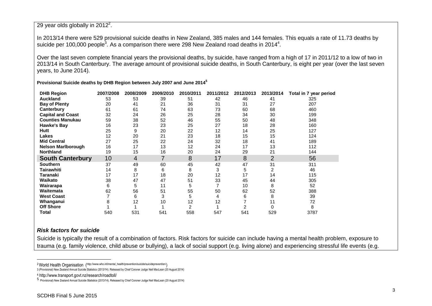#### 29 year olds globally in 2012<sup>2</sup>.

In 2013/14 there were 529 provisional suicide deaths in New Zealand, 385 males and 144 females. This equals a rate of 11.73 deaths by suicide per 100,000 people<sup>3</sup>. As a comparison there were 298 New Zealand road deaths in 2014<sup>4</sup>.

Over the last seven complete financial years the provisional deaths, by suicide, have ranged from a high of 17 in 2011/12 to a low of two in 2013/14 in South Canterbury. The average amount of provisional suicide deaths, in South Canterbury, is eight per year (over the last seven years, to June 2014).

**Provisional Suicide deaths by DHB Region between July 2007 and June 2014<sup>5</sup>**

| <b>DHB Region</b>         | 2007/2008 | 2008/2009 | 2009/2010 | 2010/2011      | 2011/2012 | 2012/2013 | 2013/2014 | Total in 7 year period |
|---------------------------|-----------|-----------|-----------|----------------|-----------|-----------|-----------|------------------------|
| <b>Auckland</b>           | 53        | 53        | 39        | 51             | 42        | 46        | 41        | 325                    |
| <b>Bay of Plenty</b>      | 20        | 41        | 21        | 36             | 31        | 31        | 27        | 207                    |
| Canterbury                | 61        | 61        | 74        | 63             | 73        | 60        | 68        | 460                    |
| <b>Capital and Coast</b>  | 32        | 24        | 26        | 25             | 28        | 34        | 30        | 199                    |
| <b>Counties Manukau</b>   | 59        | 38        | 52        | 46             | 55        | 50        | 48        | 348                    |
| <b>Hawke's Bay</b>        | 16        | 23        | 23        | 25             | 27        | 18        | 28        | 160                    |
| Hutt                      | 25        | 9         | 20        | 22             | 12        | 14        | 25        | 127                    |
| <b>Lakes</b>              | 12        | 20        | 21        | 23             | 18        | 15        | 15        | 124                    |
| <b>Mid Central</b>        | 27        | 25        | 22        | 24             | 32        | 18        | 41        | 189                    |
| <b>Nelson Marlborough</b> | 16        | 17        | 13        | 12             | 24        | 17        | 13        | 112                    |
| Northland                 | 19        | 15        | 16        | 20             | 24        | 29        | 21        | 144                    |
| <b>South Canterbury</b>   | 10        | 4         |           | 8              | 17        | 8         | 2         | 56                     |
| <b>Southern</b>           | 37        | 49        | 60        | 45             | 42        | 47        | 31        | 311                    |
| Tairawhiti                | 14        | 8         | 6         | 8              | 3         | 5         | 2         | 46                     |
| Taranaki                  | 17        | 17        | 18        | 20             | 12        | 17        | 14        | 115                    |
| Waikato                   | 38        | 47        | 47        | 51             | 33        | 45        | 44        | 305                    |
| Wairarapa                 | 6         | 5         | 11        | 5              |           | 10        | 8         | 52                     |
| Waitemata                 | 62        | 56        | 51        | 55             | 50        | 62        | 52        | 388                    |
| <b>West Coast</b>         |           | 6         | 3         | 5              | 4         | 6         | 8         | 39                     |
| Whanganui                 |           | 12        | 10        | 12             | 12        |           | 11        | 72                     |
| <b>Off Shore</b>          |           |           |           | $\overline{2}$ |           |           |           | 8                      |
| Total                     | 540       | 531       | 541       | 558            | 547       | 541       | 529       | 3787                   |

#### *Risk factors for suicide*

 $\overline{a}$ 

Suicide is typically the result of a combination of factors. Risk factors for suicide can include having a mental health problem, exposure to trauma (e.g. family violence, child abuse or bullying), a lack of social support (e.g. living alone) and experiencing stressful life events (e.g.

<sup>2</sup>World Health Organisation ([http://www.who.int/mental\\_health/prevention/suicide/suicideprevent/en/](http://www.who.int/mental_health/prevention/suicide/suicideprevent/en/))

<sup>3</sup> (Provisional) New Zealand Annual Suicide Statistics (2013/14). Released by Chief Coroner Judge Neil MacLean (20 August 2014)

<sup>4</sup> http://www.transport.govt.nz/research/roadtoll/

<sup>5</sup> Provisional) New Zealand Annual Suicide Statistics (2013/14). Released by Chief Coroner Judge Neil MacLean (20 August 2014)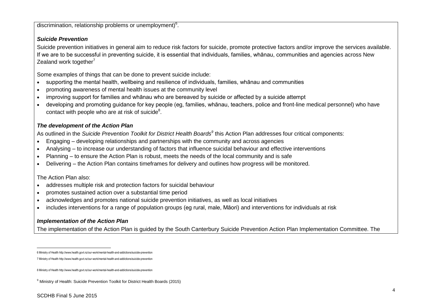discrimination, relationship problems or unemployment)<sup>6</sup>.

## *Suicide Prevention*

Suicide prevention initiatives in general aim to reduce risk factors for suicide, promote protective factors and/or improve the services available. If we are to be successful in preventing suicide, it is essential that individuals, families, whānau, communities and agencies across New Zealand work together $7$ 

Some examples of things that can be done to prevent suicide include:

- supporting the mental health, wellbeing and resilience of individuals, families, whānau and communities
- promoting awareness of mental health issues at the community level
- improving support for families and whānau who are bereaved by suicide or affected by a suicide attempt
- developing and promoting guidance for key people (eg, families, whānau, teachers, police and front-line medical personnel) who have contact with people who are at risk of suicide $8$ .

## *The development of the Action Plan*

As outlined in the *Suicide Prevention Toolkit for District Health Boards<sup>9</sup>* this Action Plan addresses four critical components:

- Engaging developing relationships and partnerships with the community and across agencies
- Analysing to increase our understanding of factors that influence suicidal behaviour and effective interventions
- Planning to ensure the Action Plan is robust, meets the needs of the local community and is safe
- Delivering the Action Plan contains timeframes for delivery and outlines how progress will be monitored.

## The Action Plan also:

- addresses multiple risk and protection factors for suicidal behaviour
- promotes sustained action over a substantial time period
- acknowledges and promotes national suicide prevention initiatives, as well as local initiatives
- includes interventions for a range of population groups (eg rural, male, Māori) and interventions for individuals at risk

## *Implementation of the Action Plan*

The implementation of the Action Plan is guided by the South Canterbury Suicide Prevention Action Plan Implementation Committee. The

 $\overline{a}$ 

<sup>6</sup> Ministry of Healt[h http://www.health.govt.nz/our-work/mental-health-and-addictions/suicide-prevention](http://www.health.govt.nz/our-work/mental-health-and-addictions/suicide-prevention)

<sup>7</sup> Ministry of Healt[h http://www.health.govt.nz/our-work/mental-health-and-addictions/suicide-prevention](http://www.health.govt.nz/our-work/mental-health-and-addictions/suicide-prevention)

<sup>8</sup> Ministry of Healt[h http://www.health.govt.nz/our-work/mental-health-and-addictions/suicide-prevention](http://www.health.govt.nz/our-work/mental-health-and-addictions/suicide-prevention)

<sup>&</sup>lt;sup>9</sup> Ministry of Health: Suicide Prevention Toolkit for District Health Boards (2015)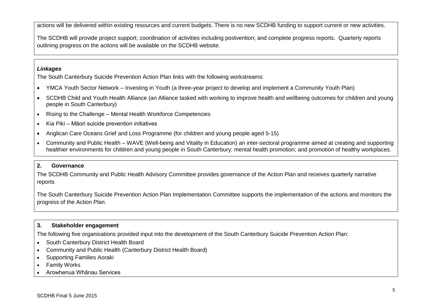actions will be delivered within existing resources and current budgets. There is no new SCDHB funding to support current or new activities.

The SCDHB will provide project support; coordination of activities including postvention; and complete progress reports. Quarterly reports outlining progress on the actions will be available on the SCDHB website.

### *Linkages*

The South Canterbury Suicide Prevention Action Plan links with the following workstreams:

- YMCA Youth Sector Network Investing in Youth (a three-year project to develop and implement a Community Youth Plan)
- SCDHB Child and Youth Health Alliance (an Alliance tasked with working to improve health and wellbeing outcomes for children and young people in South Canterbury)
- Rising to the Challenge Mental Health Workforce Competencies
- Kia Piki Māori suicide prevention initiatives
- Anglican Care Oceans Grief and Loss Programme (for children and young people aged 5-15)
- Community and Public Health WAVE (Well-being and Vitality in Education) an inter-sectoral programme aimed at creating and supporting healthier environments for children and young people in South Canterbury; mental health promotion; and promotion of healthy workplaces.

## **2. Governance**

The SCDHB Community and Public Health Advisory Committee provides governance of the Action Plan and receives quarterly narrative reports

The South Canterbury Suicide Prevention Action Plan Implementation Committee supports the implementation of the actions and monitors the progress of the Action Plan.

## **3. Stakeholder engagement**

The following five organisations provided input into the development of the South Canterbury Suicide Prevention Action Plan:

- South Canterbury District Health Board
- Community and Public Health (Canterbury District Health Board)
- Supporting Families Aoraki
- Family Works
- Arowhenua Whānau Services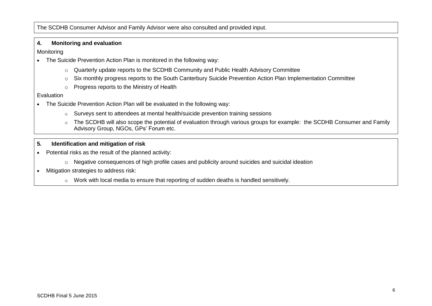The SCDHB Consumer Advisor and Family Advisor were also consulted and provided input.

#### **4. Monitoring and evaluation**

**Monitoring** 

- The Suicide Prevention Action Plan is monitored in the following way:
	- $\circ$  Quarterly update reports to the SCDHB Community and Public Health Advisory Committee
	- o Six monthly progress reports to the South Canterbury Suicide Prevention Action Plan Implementation Committee
	- o Progress reports to the Ministry of Health

#### Evaluation

- The Suicide Prevention Action Plan will be evaluated in the following way:
	- o Surveys sent to attendees at mental health/suicide prevention training sessions
	- o The SCDHB will also scope the potential of evaluation through various groups for example: the SCDHB Consumer and Family Advisory Group, NGOs, GPs' Forum etc.
- **5. Identification and mitigation of risk**
- Potential risks as the result of the planned activity:
	- o Negative consequences of high profile cases and publicity around suicides and suicidal ideation
- Mitigation strategies to address risk:
	- o Work with local media to ensure that reporting of sudden deaths is handled sensitively.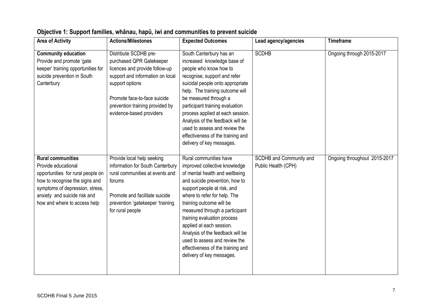| <b>Area of Activity</b>                                                                                                                                                                                                   | <b>Actions/Milestones</b>                                                                                                                                                                                                                 | <b>Expected Outcomes</b>                                                                                                                                                                                                                                                                                                                                                                                                                                   | Lead agency/agencies                           | <b>Timeframe</b>             |
|---------------------------------------------------------------------------------------------------------------------------------------------------------------------------------------------------------------------------|-------------------------------------------------------------------------------------------------------------------------------------------------------------------------------------------------------------------------------------------|------------------------------------------------------------------------------------------------------------------------------------------------------------------------------------------------------------------------------------------------------------------------------------------------------------------------------------------------------------------------------------------------------------------------------------------------------------|------------------------------------------------|------------------------------|
| <b>Community education</b><br>Provide and promote 'gate<br>keeper' training opportunities for<br>suicide prevention in South<br>Canterbury                                                                                | Distribute SCDHB pre-<br>purchased QPR Gatekeeper<br>licences and provide follow-up<br>support and information on local<br>support options<br>Promote face-to-face suicide<br>prevention training provided by<br>evidence-based providers | South Canterbury has an<br>increased knowledge base of<br>people who know how to<br>recognise, support and refer<br>suicidal people onto appropriate<br>help. The training outcome will<br>be measured through a<br>participant training evaluation<br>process applied at each session.<br>Analysis of the feedback will be<br>used to assess and review the<br>effectiveness of the training and<br>delivery of key messages.                             | <b>SCDHB</b>                                   | Ongoing through 2015-2017    |
| <b>Rural communities</b><br>Provide educational<br>opportunities for rural people on<br>how to recognise the signs and<br>symptoms of depression, stress,<br>anxiety and suicide risk and<br>how and where to access help | Provide local help seeking<br>information for South Canterbury<br>rural communities at events and<br>forums<br>Promote and facilitate suicide<br>prevention 'gatekeeper 'training<br>for rural people                                     | Rural communities have<br>improved collective knowledge<br>of mental health and wellbeing<br>and suicide prevention, how to<br>support people at risk, and<br>where to refer for help. The<br>training outcome will be<br>measured through a participant<br>training evaluation process<br>applied at each session.<br>Analysis of the feedback will be<br>used to assess and review the<br>effectiveness of the training and<br>delivery of key messages. | SCDHB and Community and<br>Public Health (CPH) | Ongoing throughout 2015-2017 |

# **Objective 1: Support families, whānau, hapū, iwi and communities to prevent suicide**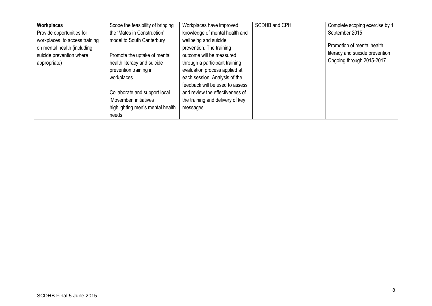| <b>Workplaces</b>                                                                                        | Scope the feasibility of bringing                                                                                                                                                                                                         | Workplaces have improved                                                                                                                                                                                                                                                                                 | SCDHB and CPH | Complete scoping exercise by 1                                                             |
|----------------------------------------------------------------------------------------------------------|-------------------------------------------------------------------------------------------------------------------------------------------------------------------------------------------------------------------------------------------|----------------------------------------------------------------------------------------------------------------------------------------------------------------------------------------------------------------------------------------------------------------------------------------------------------|---------------|--------------------------------------------------------------------------------------------|
| Provide opportunities for                                                                                | the 'Mates in Construction'                                                                                                                                                                                                               | knowledge of mental health and                                                                                                                                                                                                                                                                           |               | September 2015                                                                             |
| workplaces to access training<br>on mental health (including<br>suicide prevention where<br>appropriate) | model to South Canterbury<br>Promote the uptake of mental<br>health literacy and suicide<br>prevention training in<br>workplaces<br>Collaborate and support local<br>'Movember' initiatives<br>highlighting men's mental health<br>needs. | wellbeing and suicide<br>prevention. The training<br>outcome will be measured<br>through a participant training<br>evaluation process applied at<br>each session. Analysis of the<br>feedback will be used to assess<br>and review the effectiveness of<br>the training and delivery of key<br>messages. |               | Promotion of mental health<br>literacy and suicide prevention<br>Ongoing through 2015-2017 |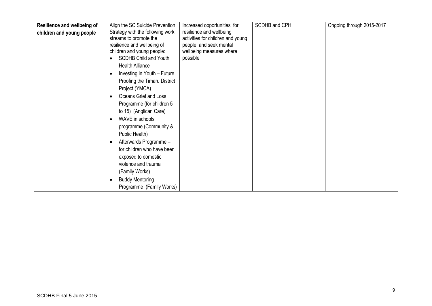| Resilience and wellbeing of<br>Align the SC Suicide Prevention<br>Increased opportunities for                                                                                                                                                                                                                                                                                                                                                                                                                                                                                                                                                                                                                                                                                             | SCDHB and CPH | Ongoing through 2015-2017 |
|-------------------------------------------------------------------------------------------------------------------------------------------------------------------------------------------------------------------------------------------------------------------------------------------------------------------------------------------------------------------------------------------------------------------------------------------------------------------------------------------------------------------------------------------------------------------------------------------------------------------------------------------------------------------------------------------------------------------------------------------------------------------------------------------|---------------|---------------------------|
| Strategy with the following work<br>resilience and wellbeing<br>children and young people<br>streams to promote the<br>activities for children and young<br>resilience and wellbeing of<br>people and seek mental<br>children and young people:<br>wellbeing measures where<br><b>SCDHB Child and Youth</b><br>possible<br><b>Health Alliance</b><br>Investing in Youth - Future<br>$\bullet$<br>Proofing the Timaru District<br>Project (YMCA)<br>Oceans Grief and Loss<br>Programme (for children 5<br>to 15) (Anglican Care)<br>WAVE in schools<br>programme (Community &<br>Public Health)<br>Afterwards Programme -<br>$\bullet$<br>for children who have been<br>exposed to domestic<br>violence and trauma<br>(Family Works)<br><b>Buddy Mentoring</b><br>Programme (Family Works) |               |                           |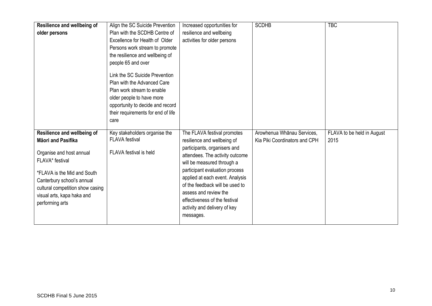| Resilience and wellbeing of<br>older persons                                                                                                                                                                                                                     | Align the SC Suicide Prevention<br>Plan with the SCDHB Centre of<br>Excellence for Health of Older<br>Persons work stream to promote<br>the resilience and wellbeing of<br>people 65 and over<br>Link the SC Suicide Prevention<br>Plan with the Advanced Care<br>Plan work stream to enable<br>older people to have more<br>opportunity to decide and record<br>their requirements for end of life<br>care | Increased opportunities for<br>resilience and wellbeing<br>activities for older persons                                                                                                                                                                                                                                                                                    | <b>SCDHB</b>                                                | <b>TBC</b>                         |
|------------------------------------------------------------------------------------------------------------------------------------------------------------------------------------------------------------------------------------------------------------------|-------------------------------------------------------------------------------------------------------------------------------------------------------------------------------------------------------------------------------------------------------------------------------------------------------------------------------------------------------------------------------------------------------------|----------------------------------------------------------------------------------------------------------------------------------------------------------------------------------------------------------------------------------------------------------------------------------------------------------------------------------------------------------------------------|-------------------------------------------------------------|------------------------------------|
| <b>Resilience and wellbeing of</b><br><b>Māori and Pasifika</b><br>Organise and host annual<br>FLAVA* festival<br>*FLAVA is the Mid and South<br>Canterbury school's annual<br>cultural competition show casing<br>visual arts, kapa haka and<br>performing arts | Key stakeholders organise the<br><b>FLAVA</b> festival<br>FLAVA festival is held                                                                                                                                                                                                                                                                                                                            | The FLAVA festival promotes<br>resilience and wellbeing of<br>participants, organisers and<br>attendees. The activity outcome<br>will be measured through a<br>participant evaluation process<br>applied at each event. Analysis<br>of the feedback will be used to<br>assess and review the<br>effectiveness of the festival<br>activity and delivery of key<br>messages. | Arowhenua Whānau Services,<br>Kia Piki Coordinators and CPH | FLAVA to be held in August<br>2015 |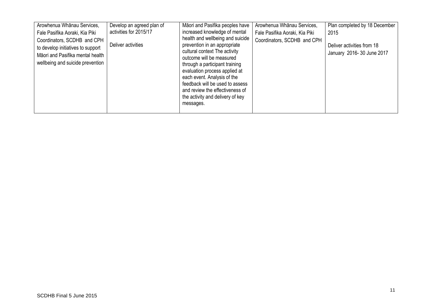| Arowhenua Whānau Services,<br>Fale Pasifika Aoraki, Kia Piki<br>Coordinators, SCDHB and CPH<br>to develop initiatives to support<br>Māori and Pasifika mental health<br>wellbeing and suicide prevention | Develop an agreed plan of<br>activities for 2015/17<br>Deliver activities | Māori and Pasifika peoples have<br>increased knowledge of mental<br>health and wellbeing and suicide<br>prevention in an appropriate<br>cultural context The activity<br>outcome will be measured<br>through a participant training<br>evaluation process applied at<br>each event. Analysis of the<br>feedback will be used to assess<br>and review the effectiveness of<br>the activity and delivery of key<br>messages. | Arowhenua Whānau Services,<br>Fale Pasifika Aoraki, Kia Piki<br>Coordinators, SCDHB and CPH | Plan completed by 18 December<br>2015<br>Deliver activities from 18<br>January 2016-30 June 2017 |
|----------------------------------------------------------------------------------------------------------------------------------------------------------------------------------------------------------|---------------------------------------------------------------------------|----------------------------------------------------------------------------------------------------------------------------------------------------------------------------------------------------------------------------------------------------------------------------------------------------------------------------------------------------------------------------------------------------------------------------|---------------------------------------------------------------------------------------------|--------------------------------------------------------------------------------------------------|
|----------------------------------------------------------------------------------------------------------------------------------------------------------------------------------------------------------|---------------------------------------------------------------------------|----------------------------------------------------------------------------------------------------------------------------------------------------------------------------------------------------------------------------------------------------------------------------------------------------------------------------------------------------------------------------------------------------------------------------|---------------------------------------------------------------------------------------------|--------------------------------------------------------------------------------------------------|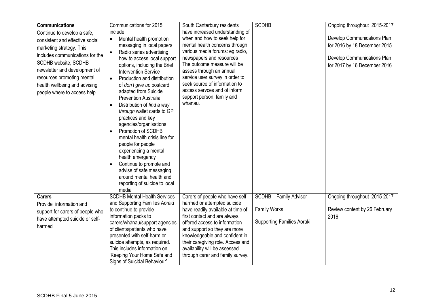| <b>Communications</b><br>Continue to develop a safe,<br>consistent and effective social<br>marketing strategy. This<br>includes communications for the<br>SCDHB website, SCDHB<br>newsletter and development of<br>resources promoting mental<br>health wellbeing and advising<br>people where to access help | Communications for 2015<br>include:<br>Mental health promotion<br>$\bullet$<br>messaging in local papers<br>Radio series advertising<br>$\bullet$<br>how to access local support<br>options, including the Brief<br><b>Intervention Service</b><br>Production and distribution<br>$\bullet$<br>of don't give up postcard<br>adapted from Suicide<br><b>Prevention Australia</b><br>Distribution of find a way<br>through wallet cards to GP<br>practices and key<br>agencies/organisations<br>Promotion of SCDHB<br>$\bullet$<br>mental health crisis line for<br>people for people<br>experiencing a mental<br>health emergency<br>Continue to promote and<br>advise of safe messaging<br>around mental health and<br>reporting of suicide to local | South Canterbury residents<br>have increased understanding of<br>when and how to seek help for<br>mental health concerns through<br>various media forums: eg radio,<br>newspapers and resources<br>The outcome measure will be<br>assess through an annual<br>service user survey in order to<br>seek source of information to<br>access servces and ot inform<br>support person, family and<br>whanau. | <b>SCDHB</b>                                                                       | Ongoing throughout 2015-2017<br>Develop Communications Plan<br>for 2016 by 18 December 2015<br>Develop Communications Plan<br>for 2017 by 16 December 2016 |
|---------------------------------------------------------------------------------------------------------------------------------------------------------------------------------------------------------------------------------------------------------------------------------------------------------------|------------------------------------------------------------------------------------------------------------------------------------------------------------------------------------------------------------------------------------------------------------------------------------------------------------------------------------------------------------------------------------------------------------------------------------------------------------------------------------------------------------------------------------------------------------------------------------------------------------------------------------------------------------------------------------------------------------------------------------------------------|---------------------------------------------------------------------------------------------------------------------------------------------------------------------------------------------------------------------------------------------------------------------------------------------------------------------------------------------------------------------------------------------------------|------------------------------------------------------------------------------------|------------------------------------------------------------------------------------------------------------------------------------------------------------|
|                                                                                                                                                                                                                                                                                                               | media                                                                                                                                                                                                                                                                                                                                                                                                                                                                                                                                                                                                                                                                                                                                                |                                                                                                                                                                                                                                                                                                                                                                                                         |                                                                                    |                                                                                                                                                            |
| <b>Carers</b><br>Provide information and<br>support for carers of people who<br>have attempted suicide or self-<br>harmed                                                                                                                                                                                     | <b>SCDHB Mental Health Services</b><br>and Supporting Families Aoraki<br>to continue to provide<br>information packs to<br>carers/whānau/support agencies<br>of clients/patients who have<br>presented with self-harm or<br>suicide attempts, as required.<br>This includes information on<br>'Keeping Your Home Safe and<br>Signs of Suicidal Behaviour'                                                                                                                                                                                                                                                                                                                                                                                            | Carers of people who have self-<br>harmed or attempted suicide<br>have readily available at time of<br>first contact and are always<br>offered access to information<br>and support so they are more<br>knowledgeable and confident in<br>their caregiving role. Access and<br>availability will be assessed<br>through carer and family survey.                                                        | SCDHB - Family Advisor<br><b>Family Works</b><br><b>Supporting Families Aoraki</b> | Ongoing throughout 2015-2017<br>Review content by 26 February<br>2016                                                                                      |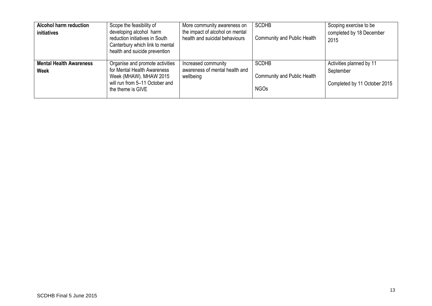| <b>Alcohol harm reduction</b><br>initiatives  | Scope the feasibility of<br>developing alcohol harm<br>reduction initiatives in South<br>Canterbury which link to mental<br>health and suicide prevention | More community awareness on<br>the impact of alcohol on mental<br>health and suicidal behaviours | <b>SCDHB</b><br><b>Community and Public Health</b>                | Scoping exercise to be<br>completed by 18 December<br>2015            |
|-----------------------------------------------|-----------------------------------------------------------------------------------------------------------------------------------------------------------|--------------------------------------------------------------------------------------------------|-------------------------------------------------------------------|-----------------------------------------------------------------------|
| <b>Mental Health Awareness</b><br><b>Week</b> | Organise and promote activities<br>for Mental Health Awareness<br>Week (MHAW). MHAW 2015<br>will run from 5-11 October and<br>the theme is GIVE           | Increased community<br>awareness of mental health and<br>wellbeing                               | <b>SCDHB</b><br><b>Community and Public Health</b><br><b>NGOs</b> | Activities planned by 11<br>September<br>Completed by 11 October 2015 |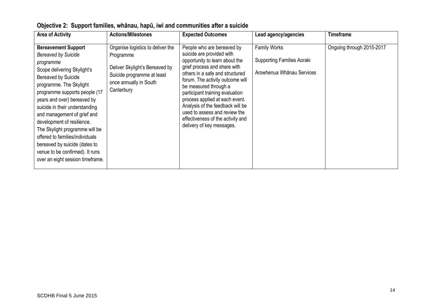| <b>Area of Activity</b>                                                                                                                                                                                                                                                                                                                                                                                                                                                                            | <b>Actions/Milestones</b>                                                                                                                              | <b>Expected Outcomes</b>                                                                                                                                                                                                                                                                                                                                                                                                              | Lead agency/agencies                                                                  | <b>Timeframe</b>          |
|----------------------------------------------------------------------------------------------------------------------------------------------------------------------------------------------------------------------------------------------------------------------------------------------------------------------------------------------------------------------------------------------------------------------------------------------------------------------------------------------------|--------------------------------------------------------------------------------------------------------------------------------------------------------|---------------------------------------------------------------------------------------------------------------------------------------------------------------------------------------------------------------------------------------------------------------------------------------------------------------------------------------------------------------------------------------------------------------------------------------|---------------------------------------------------------------------------------------|---------------------------|
| <b>Bereavement Support</b><br><b>Bereaved by Suicide</b><br>programme<br>Scope delivering Skylight's<br>Bereaved by Suicide<br>programme. The Skylight<br>programme supports people (17<br>years and over) bereaved by<br>suicide in their understanding<br>and management of grief and<br>development of resilience.<br>The Skylight programme will be<br>offered to families/individuals<br>bereaved by suicide (dates to<br>venue to be confirmed). It runs<br>over an eight session timeframe. | Organise logistics to deliver the<br>Programme<br>Deliver Skylight's Bereaved by<br>Suicide programme at least<br>once annually in South<br>Canterbury | People who are bereaved by<br>suicide are provided with<br>opportunity to learn about the<br>grief process and share with<br>others in a safe and structured<br>forum. The activity outcome will<br>be measured through a<br>participant training evaluation<br>process applied at each event.<br>Analysis of the feedback will be<br>used to assess and review the<br>effectiveness of the activity and<br>delivery of key messages. | <b>Family Works</b><br><b>Supporting Families Aoraki</b><br>Arowhenua Whānau Services | Ongoing through 2015-2017 |

**Objective 2: Support families, whānau, hapū, iwi and communities after a suicide**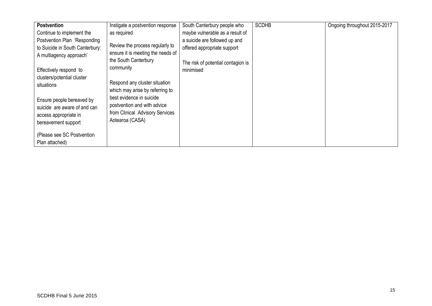| <b>Postvention</b>                                                                                                                                                              | Instigate a postvention response                                                                                                                                                  | South Canterbury people who                                                                                                                        | <b>SCDHB</b> | Ongoing throughout 2015-2017 |
|---------------------------------------------------------------------------------------------------------------------------------------------------------------------------------|-----------------------------------------------------------------------------------------------------------------------------------------------------------------------------------|----------------------------------------------------------------------------------------------------------------------------------------------------|--------------|------------------------------|
| Continue to implement the<br>Postvention Plan 'Responding<br>to Suicide in South Canterbury:<br>A multiagency approach'<br>Effectively respond to<br>clusters/potential cluster | as required<br>Review the process regularly to<br>ensure it is meeting the needs of<br>the South Canterbury<br>community                                                          | maybe vulnerable as a result of<br>a suicide are followed up and<br>offered appropriate support<br>The risk of potential contagion is<br>minimised |              |                              |
| situations<br>Ensure people bereaved by<br>suicide are aware of and can<br>access appropriate in<br>bereavement support<br>(Please see SC Postvention<br>Plan attached)         | Respond any cluster situation<br>which may arise by referring to<br>best evidence in suicide<br>postvention and with advice<br>from Clinical Advisory Services<br>Aotearoa (CASA) |                                                                                                                                                    |              |                              |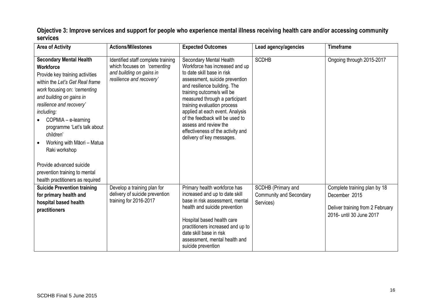**Objective 3: Improve services and support for people who experience mental illness receiving health care and/or accessing community services** 

| <b>Area of Activity</b>                                                                                                                                                                                                                                                                                                                                                      | <b>Actions/Milestones</b>                                                                                                 | <b>Expected Outcomes</b>                                                                                                                                                                                                                                                                                                                                                                                                  | Lead agency/agencies                                              | <b>Timeframe</b>                                                                                              |
|------------------------------------------------------------------------------------------------------------------------------------------------------------------------------------------------------------------------------------------------------------------------------------------------------------------------------------------------------------------------------|---------------------------------------------------------------------------------------------------------------------------|---------------------------------------------------------------------------------------------------------------------------------------------------------------------------------------------------------------------------------------------------------------------------------------------------------------------------------------------------------------------------------------------------------------------------|-------------------------------------------------------------------|---------------------------------------------------------------------------------------------------------------|
| <b>Secondary Mental Health</b><br><b>Workforce</b><br>Provide key training activities<br>within the Let's Get Real frame<br>work focusing on: 'cementing<br>and building on gains in<br>resilience and recovery'<br>including:<br>COPMIA - e-learning<br>programme 'Let's talk about<br>children'<br>Working with Māori - Matua<br>Raki workshop<br>Provide advanced suicide | Identified staff complete training<br>which focuses on 'cementing<br>and building on gains in<br>resilience and recovery' | Secondary Mental Health<br>Workforce has increased and up<br>to date skill base in risk<br>assessment, suicide prevention<br>and resilience building. The<br>training outcome/s will be<br>measured through a participant<br>training evaluation process<br>applied at each event. Analysis<br>of the feedback will be used to<br>assess and review the<br>effectiveness of the activity and<br>delivery of key messages. | <b>SCDHB</b>                                                      | Ongoing through 2015-2017                                                                                     |
| prevention training to mental<br>health practitioners as required                                                                                                                                                                                                                                                                                                            |                                                                                                                           |                                                                                                                                                                                                                                                                                                                                                                                                                           |                                                                   |                                                                                                               |
| <b>Suicide Prevention training</b><br>for primary health and<br>hospital based health<br>practitioners                                                                                                                                                                                                                                                                       | Develop a training plan for<br>delivery of suicide prevention<br>training for 2016-2017                                   | Primary health workforce has<br>increased and up to date skill<br>base in risk assessment, mental<br>health and suicide prevention<br>Hospital based health care<br>practitioners increased and up to<br>date skill base in risk<br>assessment, mental health and<br>suicide prevention                                                                                                                                   | SCDHB (Primary and<br><b>Community and Secondary</b><br>Services) | Complete training plan by 18<br>December 2015<br>Deliver training from 2 February<br>2016- until 30 June 2017 |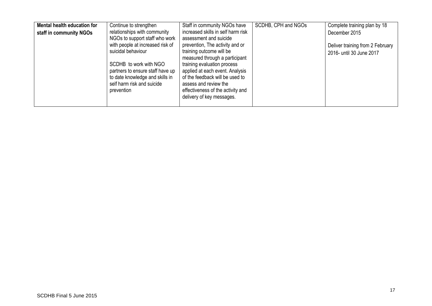| Mental health education for | Continue to strengthen           | Staff in community NGOs have       | SCDHB, CPH and NGOs | Complete training plan by 18     |
|-----------------------------|----------------------------------|------------------------------------|---------------------|----------------------------------|
| staff in community NGOs     | relationships with community     | increased skills in self harm risk |                     | December 2015                    |
|                             | NGOs to support staff who work   | assessment and suicide             |                     |                                  |
|                             | with people at increased risk of | prevention, The activity and or    |                     | Deliver training from 2 February |
|                             | suicidal behaviour               | training outcome will be           |                     | 2016- until 30 June 2017         |
|                             |                                  | measured through a participant     |                     |                                  |
|                             | SCDHB to work with NGO           | training evaluation process        |                     |                                  |
|                             | partners to ensure staff have up | applied at each event. Analysis    |                     |                                  |
|                             | to date knowledge and skills in  | of the feedback will be used to    |                     |                                  |
|                             | self harm risk and suicide       | assess and review the              |                     |                                  |
|                             | prevention                       | effectiveness of the activity and  |                     |                                  |
|                             |                                  | delivery of key messages.          |                     |                                  |
|                             |                                  |                                    |                     |                                  |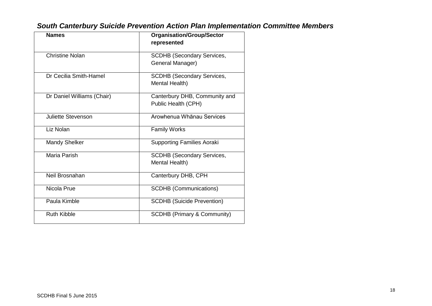| <b>Names</b>               | <b>Organisation/Group/Sector</b><br>represented       |
|----------------------------|-------------------------------------------------------|
| <b>Christine Nolan</b>     | <b>SCDHB (Secondary Services,</b><br>General Manager) |
| Dr Cecilia Smith-Hamel     | <b>SCDHB (Secondary Services,</b><br>Mental Health)   |
| Dr Daniel Williams (Chair) | Canterbury DHB, Community and<br>Public Health (CPH)  |
| <b>Juliette Stevenson</b>  | Arowhenua Whanau Services                             |
| Liz Nolan                  | <b>Family Works</b>                                   |
| <b>Mandy Shelker</b>       | <b>Supporting Families Aoraki</b>                     |
| Maria Parish               | <b>SCDHB (Secondary Services,</b><br>Mental Health)   |
| Neil Brosnahan             | Canterbury DHB, CPH                                   |
| Nicola Prue                | <b>SCDHB</b> (Communications)                         |
| Paula Kimble               | <b>SCDHB (Suicide Prevention)</b>                     |
| <b>Ruth Kibble</b>         | <b>SCDHB (Primary &amp; Community)</b>                |

# *South Canterbury Suicide Prevention Action Plan Implementation Committee Members*